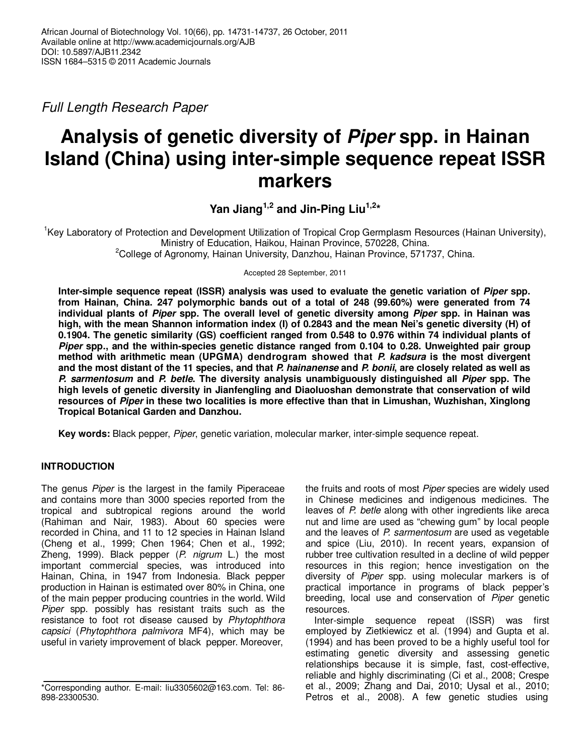Full Length Research Paper

# **Analysis of genetic diversity of Piper spp. in Hainan Island (China) using inter-simple sequence repeat ISSR markers**

**Yan Jiang1,2 and Jin-Ping Liu1,2\*** 

<sup>1</sup>Key Laboratory of Protection and Development Utilization of Tropical Crop Germplasm Resources (Hainan University), Ministry of Education, Haikou, Hainan Province, 570228, China. <sup>2</sup>College of Agronomy, Hainan University, Danzhou, Hainan Province, 571737, China.

Accepted 28 September, 2011

**Inter-simple sequence repeat (ISSR) analysis was used to evaluate the genetic variation of Piper spp. from Hainan, China. 247 polymorphic bands out of a total of 248 (99.60%) were generated from 74 individual plants of Piper spp. The overall level of genetic diversity among Piper spp. in Hainan was high, with the mean Shannon information index (I) of 0.2843 and the mean Nei's genetic diversity (H) of 0.1904. The genetic similarity (GS) coefficient ranged from 0.548 to 0.976 within 74 individual plants of Piper spp., and the within-species genetic distance ranged from 0.104 to 0.28. Unweighted pair group method with arithmetic mean (UPGMA) dendrogram showed that P. kadsura is the most divergent and the most distant of the 11 species, and that P. hainanense and P. bonii, are closely related as well as P. sarmentosum and P. betle. The diversity analysis unambiguously distinguished all Piper spp. The high levels of genetic diversity in Jianfengling and Diaoluoshan demonstrate that conservation of wild resources of Piper in these two localities is more effective than that in Limushan, Wuzhishan, Xinglong Tropical Botanical Garden and Danzhou.** 

**Key words:** Black pepper, Piper, genetic variation, molecular marker, inter-simple sequence repeat.

## **INTRODUCTION**

The genus *Piper* is the largest in the family Piperaceae and contains more than 3000 species reported from the tropical and subtropical regions around the world (Rahiman and Nair, 1983). About 60 species were recorded in China, and 11 to 12 species in Hainan Island (Cheng et al., 1999; Chen 1964; Chen et al., 1992; Zheng, 1999). Black pepper  $(P. nigrum L.)$  the most important commercial species, was introduced into Hainan, China, in 1947 from Indonesia. Black pepper production in Hainan is estimated over 80% in China, one of the main pepper producing countries in the world. Wild Piper spp. possibly has resistant traits such as the resistance to foot rot disease caused by Phytophthora capsici (Phytophthora palmivora MF4), which may be useful in variety improvement of black pepper. Moreover,

the fruits and roots of most Piper species are widely used in Chinese medicines and indigenous medicines. The leaves of P. betle along with other ingredients like areca nut and lime are used as "chewing gum" by local people and the leaves of P. sarmentosum are used as vegetable and spice (Liu, 2010). In recent years, expansion of rubber tree cultivation resulted in a decline of wild pepper resources in this region; hence investigation on the diversity of Piper spp. using molecular markers is of practical importance in programs of black pepper's breeding, local use and conservation of Piper genetic resources.

Inter-simple sequence repeat (ISSR) was first employed by Zietkiewicz et al. (1994) and Gupta et al. (1994) and has been proved to be a highly useful tool for estimating genetic diversity and assessing genetic relationships because it is simple, fast, cost-effective, reliable and highly discriminating (Ci et al., 2008; Crespe et al., 2009; Zhang and Dai, 2010; Uysal et al., 2010; Petros et al., 2008). A few genetic studies using

<sup>\*</sup>Corresponding author. E-mail: liu3305602@163.com. Tel: 86- 898-23300530.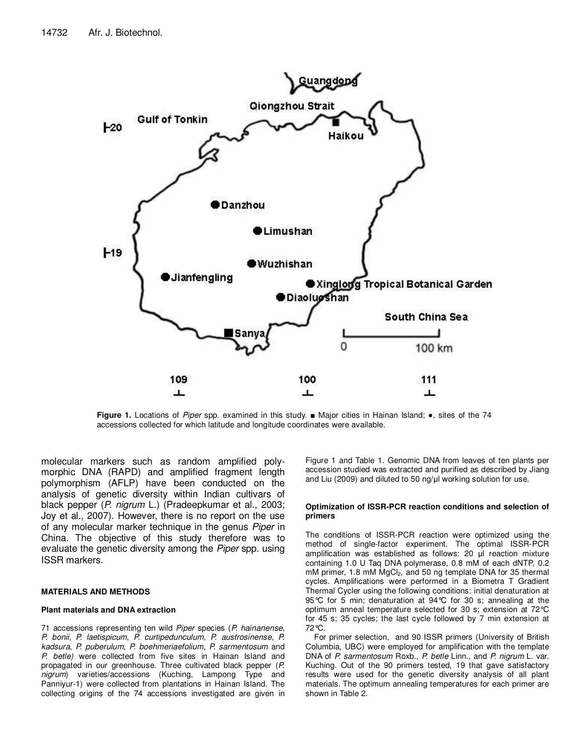

**Figure 1.** Locations of *Piper* spp. examined in this study. ■ Major cities in Hainan Island; ●, sites of the 74 accessions collected for which latitude and longitude coordinates were available.

molecular markers such as random amplified polymorphic DNA (RAPD) and amplified fragment length polymorphism (AFLP) have been conducted on the analysis of genetic diversity within Indian cultivars of black pepper (P. nigrum L.) (Pradeepkumar et al., 2003; Joy et al., 2007). However, there is no report on the use of any molecular marker technique in the genus Piper in China. The objective of this study therefore was to evaluate the genetic diversity among the *Piper* spp. using ISSR markers.

## **MATERIALS AND METHODS**

### **Plant materials and DNA extraction**

71 accessions representing ten wild Piper species (P. hainanense, P. bonii, P. laetispicum, P. curtipedunculum, P. austrosinense, P. kadsura, P. puberulum, P. boehmeriaefolium, P. sarmentosum and P. betle) were collected from five sites in Hainan Island and propagated in our greenhouse. Three cultivated black pepper (P. nigrum) varieties/accessions (Kuching, Lampong Type and Panniyur-1) were collected from plantations in Hainan Island. The collecting origins of the 74 accessions investigated are given in Figure 1 and Table 1. Genomic DNA from leaves of ten plants per accession studied was extracted and purified as described by Jiang and Liu (2009) and diluted to 50 ng/ul working solution for use.

#### **Optimization of ISSR-PCR reaction conditions and selection of primers**

The conditions of ISSR-PCR reaction were optimized using the method of single-factor experiment. The optimal ISSR-PCR amplification was established as follows: 20 µl reaction mixture containing 1.0 U Taq DNA polymerase, 0.8 mM of each dNTP, 0.2 mM primer, 1.8 mM MgCl<sub>2</sub>, and 50 ng template DNA for 35 thermal cycles. Amplifications were performed in a Biometra T Gradient Thermal Cycler using the following conditions: initial denaturation at 95°C for 5 min; denaturation at 94°C for 30 s; annealing at the optimum anneal temperature selected for 30 s; extension at 72°C for 45 s; 35 cycles; the last cycle followed by 7 min extension at 72°C.

For primer selection, and 90 ISSR primers (University of British Columbia, UBC) were employed for amplification with the template DNA of P. sarmentosum Roxb., P. betle Linn., and P. nigrum L. var. Kuching. Out of the 90 primers tested, 19 that gave satisfactory results were used for the genetic diversity analysis of all plant materials. The optimum annealing temperatures for each primer are shown in Table 2.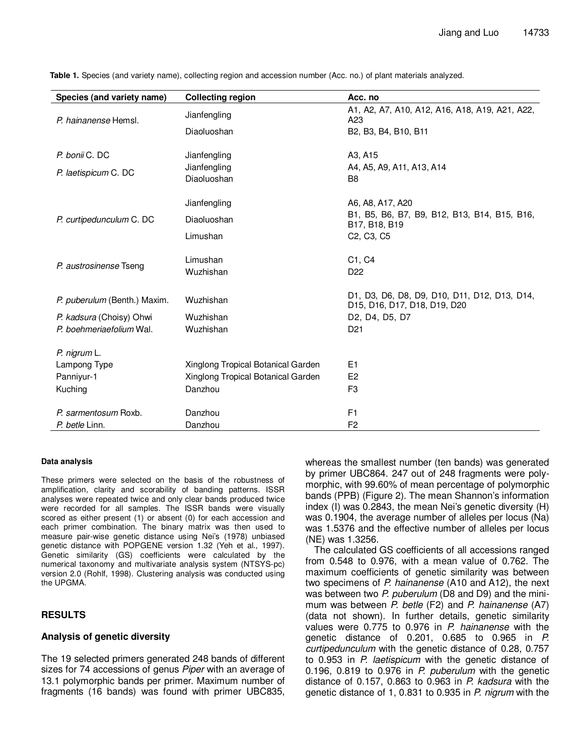| A1, A2, A7, A10, A12, A16, A18, A19, A21, A22,<br>Jianfengling<br>P. hainanense Hemsl.<br>A <sub>23</sub><br>Diaoluoshan<br>B2, B3, B4, B10, B11<br>P. bonii C. DC<br>Jianfengling<br>A <sub>3</sub> , A <sub>15</sub><br>Jianfengling<br>A4, A5, A9, A11, A13, A14<br>P. laetispicum C. DC<br>Diaoluoshan<br>B <sub>8</sub><br>Jianfengling<br>A6, A8, A17, A20<br>B1, B5, B6, B7, B9, B12, B13, B14, B15, B16,<br>P. curtipedunculum C. DC<br>Diaoluoshan<br>B17, B18, B19<br>C2, C3, C5<br>Limushan<br>Limushan<br>C <sub>1</sub> , C <sub>4</sub><br>P. austrosinense Tseng<br>Wuzhishan<br>D <sub>22</sub><br>D1, D3, D6, D8, D9, D10, D11, D12, D13, D14,<br>P. puberulum (Benth.) Maxim.<br>Wuzhishan<br>D15, D16, D17, D18, D19, D20<br>P. kadsura (Choisy) Ohwi<br>D2, D4, D5, D7<br>Wuzhishan<br>P. boehmeriaefolium Wal.<br>Wuzhishan<br>D <sub>21</sub><br>P. nigrum L.<br>E <sub>1</sub><br>Lampong Type<br>Xinglong Tropical Botanical Garden<br>Panniyur-1<br>Xinglong Tropical Botanical Garden<br>E <sub>2</sub><br>Danzhou<br>F <sub>3</sub><br>Kuching<br>P. sarmentosum Roxb.<br>F <sub>1</sub><br>Danzhou<br>F <sub>2</sub><br>P. betle Linn.<br>Danzhou | Species (and variety name) | <b>Collecting region</b> | Acc. no |
|-------------------------------------------------------------------------------------------------------------------------------------------------------------------------------------------------------------------------------------------------------------------------------------------------------------------------------------------------------------------------------------------------------------------------------------------------------------------------------------------------------------------------------------------------------------------------------------------------------------------------------------------------------------------------------------------------------------------------------------------------------------------------------------------------------------------------------------------------------------------------------------------------------------------------------------------------------------------------------------------------------------------------------------------------------------------------------------------------------------------------------------------------------------------------------|----------------------------|--------------------------|---------|
|                                                                                                                                                                                                                                                                                                                                                                                                                                                                                                                                                                                                                                                                                                                                                                                                                                                                                                                                                                                                                                                                                                                                                                               |                            |                          |         |
|                                                                                                                                                                                                                                                                                                                                                                                                                                                                                                                                                                                                                                                                                                                                                                                                                                                                                                                                                                                                                                                                                                                                                                               |                            |                          |         |
|                                                                                                                                                                                                                                                                                                                                                                                                                                                                                                                                                                                                                                                                                                                                                                                                                                                                                                                                                                                                                                                                                                                                                                               |                            |                          |         |
|                                                                                                                                                                                                                                                                                                                                                                                                                                                                                                                                                                                                                                                                                                                                                                                                                                                                                                                                                                                                                                                                                                                                                                               |                            |                          |         |
|                                                                                                                                                                                                                                                                                                                                                                                                                                                                                                                                                                                                                                                                                                                                                                                                                                                                                                                                                                                                                                                                                                                                                                               |                            |                          |         |
|                                                                                                                                                                                                                                                                                                                                                                                                                                                                                                                                                                                                                                                                                                                                                                                                                                                                                                                                                                                                                                                                                                                                                                               |                            |                          |         |
|                                                                                                                                                                                                                                                                                                                                                                                                                                                                                                                                                                                                                                                                                                                                                                                                                                                                                                                                                                                                                                                                                                                                                                               |                            |                          |         |
|                                                                                                                                                                                                                                                                                                                                                                                                                                                                                                                                                                                                                                                                                                                                                                                                                                                                                                                                                                                                                                                                                                                                                                               |                            |                          |         |
|                                                                                                                                                                                                                                                                                                                                                                                                                                                                                                                                                                                                                                                                                                                                                                                                                                                                                                                                                                                                                                                                                                                                                                               |                            |                          |         |
|                                                                                                                                                                                                                                                                                                                                                                                                                                                                                                                                                                                                                                                                                                                                                                                                                                                                                                                                                                                                                                                                                                                                                                               |                            |                          |         |
|                                                                                                                                                                                                                                                                                                                                                                                                                                                                                                                                                                                                                                                                                                                                                                                                                                                                                                                                                                                                                                                                                                                                                                               |                            |                          |         |
|                                                                                                                                                                                                                                                                                                                                                                                                                                                                                                                                                                                                                                                                                                                                                                                                                                                                                                                                                                                                                                                                                                                                                                               |                            |                          |         |
|                                                                                                                                                                                                                                                                                                                                                                                                                                                                                                                                                                                                                                                                                                                                                                                                                                                                                                                                                                                                                                                                                                                                                                               |                            |                          |         |
|                                                                                                                                                                                                                                                                                                                                                                                                                                                                                                                                                                                                                                                                                                                                                                                                                                                                                                                                                                                                                                                                                                                                                                               |                            |                          |         |
|                                                                                                                                                                                                                                                                                                                                                                                                                                                                                                                                                                                                                                                                                                                                                                                                                                                                                                                                                                                                                                                                                                                                                                               |                            |                          |         |
|                                                                                                                                                                                                                                                                                                                                                                                                                                                                                                                                                                                                                                                                                                                                                                                                                                                                                                                                                                                                                                                                                                                                                                               |                            |                          |         |
|                                                                                                                                                                                                                                                                                                                                                                                                                                                                                                                                                                                                                                                                                                                                                                                                                                                                                                                                                                                                                                                                                                                                                                               |                            |                          |         |
|                                                                                                                                                                                                                                                                                                                                                                                                                                                                                                                                                                                                                                                                                                                                                                                                                                                                                                                                                                                                                                                                                                                                                                               |                            |                          |         |
|                                                                                                                                                                                                                                                                                                                                                                                                                                                                                                                                                                                                                                                                                                                                                                                                                                                                                                                                                                                                                                                                                                                                                                               |                            |                          |         |
|                                                                                                                                                                                                                                                                                                                                                                                                                                                                                                                                                                                                                                                                                                                                                                                                                                                                                                                                                                                                                                                                                                                                                                               |                            |                          |         |
|                                                                                                                                                                                                                                                                                                                                                                                                                                                                                                                                                                                                                                                                                                                                                                                                                                                                                                                                                                                                                                                                                                                                                                               |                            |                          |         |
|                                                                                                                                                                                                                                                                                                                                                                                                                                                                                                                                                                                                                                                                                                                                                                                                                                                                                                                                                                                                                                                                                                                                                                               |                            |                          |         |
|                                                                                                                                                                                                                                                                                                                                                                                                                                                                                                                                                                                                                                                                                                                                                                                                                                                                                                                                                                                                                                                                                                                                                                               |                            |                          |         |
|                                                                                                                                                                                                                                                                                                                                                                                                                                                                                                                                                                                                                                                                                                                                                                                                                                                                                                                                                                                                                                                                                                                                                                               |                            |                          |         |

**Table 1.** Species (and variety name), collecting region and accession number (Acc. no.) of plant materials analyzed.

#### **Data analysis**

These primers were selected on the basis of the robustness of amplification, clarity and scorability of banding patterns. ISSR analyses were repeated twice and only clear bands produced twice were recorded for all samples. The ISSR bands were visually scored as either present (1) or absent (0) for each accession and each primer combination. The binary matrix was then used to measure pair-wise genetic distance using Nei's (1978) unbiased genetic distance with POPGENE version 1.32 (Yeh et al., 1997). Genetic similarity (GS) coefficients were calculated by the numerical taxonomy and multivariate analysis system (NTSYS-pc) version 2.0 (Rohlf, 1998). Clustering analysis was conducted using the UPGMA.

## **RESULTS**

## **Analysis of genetic diversity**

The 19 selected primers generated 248 bands of different sizes for 74 accessions of genus Piper with an average of 13.1 polymorphic bands per primer. Maximum number of fragments (16 bands) was found with primer UBC835,

whereas the smallest number (ten bands) was generated by primer UBC864. 247 out of 248 fragments were polymorphic, with 99.60% of mean percentage of polymorphic bands (PPB) (Figure 2). The mean Shannon's information index (I) was 0.2843, the mean Nei's genetic diversity (H) was 0.1904, the average number of alleles per locus (Na) was 1.5376 and the effective number of alleles per locus (NE) was 1.3256.

The calculated GS coefficients of all accessions ranged from 0.548 to 0.976, with a mean value of 0.762. The maximum coefficients of genetic similarity was between two specimens of P. hainanense (A10 and A12), the next was between two P. puberulum (D8 and D9) and the minimum was between  $P$ . betle (F2) and  $P$ . hainanense (A7) (data not shown). In further details, genetic similarity values were 0.775 to 0.976 in P. hainanense with the genetic distance of 0.201, 0.685 to 0.965 in P. curtipedunculum with the genetic distance of 0.28, 0.757 to 0.953 in P. laetispicum with the genetic distance of 0.196, 0.819 to 0.976 in P. puberulum with the genetic distance of 0.157, 0.863 to 0.963 in P. kadsura with the genetic distance of 1, 0.831 to 0.935 in P. nigrum with the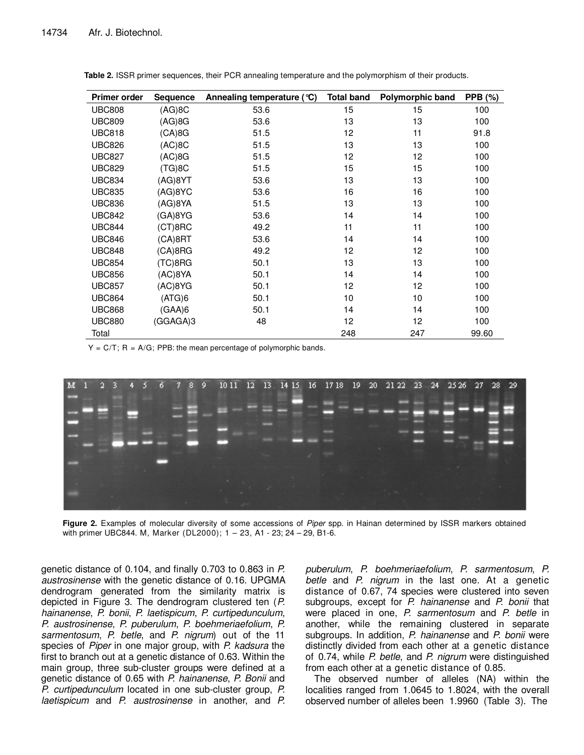| <b>Primer order</b> | <b>Sequence</b> | Annealing temperature (°C) | <b>Total band</b> | <b>Polymorphic band</b> | <b>PPB</b> (%) |
|---------------------|-----------------|----------------------------|-------------------|-------------------------|----------------|
| <b>UBC808</b>       | $(AG)$ 8C       | 53.6                       | 15                | 15                      | 100            |
| <b>UBC809</b>       | $(AG)$ 8G       | 53.6                       | 13                | 13                      | 100            |
| <b>UBC818</b>       | (CA)8G          | 51.5                       | 12                | 11                      | 91.8           |
| <b>UBC826</b>       | (AC)8C          | 51.5                       | 13                | 13                      | 100            |
| <b>UBC827</b>       | (AC)8G          | 51.5                       | 12                | 12                      | 100            |
| <b>UBC829</b>       | (TG)8C          | 51.5                       | 15                | 15                      | 100            |
| <b>UBC834</b>       | (AG)8YT         | 53.6                       | 13                | 13                      | 100            |
| <b>UBC835</b>       | (AG)8YC         | 53.6                       | 16                | 16                      | 100            |
| <b>UBC836</b>       | (AG)8YA         | 51.5                       | 13                | 13                      | 100            |
| <b>UBC842</b>       | (GA)8YG         | 53.6                       | 14                | 14                      | 100            |
| <b>UBC844</b>       | (CT)8RC         | 49.2                       | 11                | 11                      | 100            |
| <b>UBC846</b>       | (CA)8RT         | 53.6                       | 14                | 14                      | 100            |
| <b>UBC848</b>       | (CA)8RG         | 49.2                       | 12                | 12                      | 100            |
| <b>UBC854</b>       | (TC)8RG         | 50.1                       | 13                | 13                      | 100            |
| <b>UBC856</b>       | (AC)8YA         | 50.1                       | 14                | 14                      | 100            |
| <b>UBC857</b>       | (AC)8YG         | 50.1                       | 12                | 12                      | 100            |
| <b>UBC864</b>       | (ATG)6          | 50.1                       | 10                | 10                      | 100            |
| <b>UBC868</b>       | (GAA)6          | 50.1                       | 14                | 14                      | 100            |
| <b>UBC880</b>       | (GGAGA)3        | 48                         | 12                | 12                      | 100            |
| Total               |                 |                            | 248               | 247                     | 99.60          |

**Table 2.** ISSR primer sequences, their PCR annealing temperature and the polymorphism of their products.

 $Y = C/T$ ; R = A/G; PPB: the mean percentage of polymorphic bands.



Figure 2. Examples of molecular diversity of some accessions of Piper spp. in Hainan determined by ISSR markers obtained with primer UBC844. M, Marker (DL2000); 1 – 23, A1 - 23; 24 – 29, B1-6.

genetic distance of 0.104, and finally 0.703 to 0.863 in P. austrosinense with the genetic distance of 0.16. UPGMA dendrogram generated from the similarity matrix is depicted in Figure 3. The dendrogram clustered ten (P. hainanense, P. bonii, P. laetispicum, P. curtipedunculum, P. austrosinense, P. puberulum, P. boehmeriaefolium, P. sarmentosum, P. betle, and P. nigrum) out of the 11 species of *Piper* in one major group, with *P. kadsura* the first to branch out at a genetic distance of 0.63. Within the main group, three sub-cluster groups were defined at a genetic distance of 0.65 with P. hainanense, P. Bonii and P. curtipedunculum located in one sub-cluster group, P. laetispicum and P. austrosinense in another, and P.

puberulum, P. boehmeriaefolium, P. sarmentosum, P. betle and P. nigrum in the last one. At a genetic distance of 0.67, 74 species were clustered into seven subgroups, except for P. hainanense and P. bonii that were placed in one, P. sarmentosum and P. betle in another, while the remaining clustered in separate subgroups. In addition, P. hainanense and P. bonii were distinctly divided from each other at a genetic distance of 0.74, while P. betle, and P. nigrum were distinguished from each other at a genetic distance of 0.85.

The observed number of alleles (NA) within the localities ranged from 1.0645 to 1.8024, with the overall observed number of alleles been 1.9960 (Table 3). The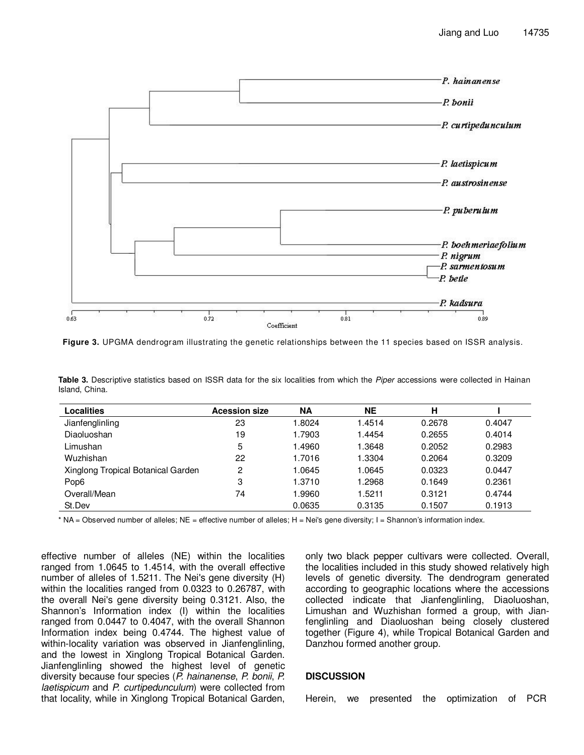

**Figure 3.** UPGMA dendrogram illustrating the genetic relationships between the 11 species based on ISSR analysis.

Table 3. Descriptive statistics based on ISSR data for the six localities from which the *Piper* accessions were collected in Hainan Island, China.

| <b>Localities</b>                  | <b>Acession size</b> | <b>NA</b> | <b>NE</b> | н      |        |
|------------------------------------|----------------------|-----------|-----------|--------|--------|
| Jianfenglinling                    | 23                   | 1.8024    | 1.4514    | 0.2678 | 0.4047 |
| Diaoluoshan                        | 19                   | 1.7903    | 1.4454    | 0.2655 | 0.4014 |
| Limushan                           | 5                    | 1.4960    | 1.3648    | 0.2052 | 0.2983 |
| Wuzhishan                          | 22                   | 1.7016    | 1.3304    | 0.2064 | 0.3209 |
| Xinglong Tropical Botanical Garden | 2                    | 1.0645    | 1.0645    | 0.0323 | 0.0447 |
| Pop6                               | 3                    | 1.3710    | 1.2968    | 0.1649 | 0.2361 |
| Overall/Mean                       | 74                   | 1.9960    | 1.5211    | 0.3121 | 0.4744 |
| St.Dev                             |                      | 0.0635    | 0.3135    | 0.1507 | 0.1913 |

\* NA = Observed number of alleles; NE = effective number of alleles; H = Nei's gene diversity; I = Shannon's information index.

effective number of alleles (NE) within the localities ranged from 1.0645 to 1.4514, with the overall effective number of alleles of 1.5211. The Nei's gene diversity (H) within the localities ranged from 0.0323 to 0.26787, with the overall Nei's gene diversity being 0.3121. Also, the Shannon's Information index (I) within the localities ranged from 0.0447 to 0.4047, with the overall Shannon Information index being 0.4744. The highest value of within-locality variation was observed in Jianfenglinling, and the lowest in Xinglong Tropical Botanical Garden. Jianfenglinling showed the highest level of genetic diversity because four species (P. hainanense, P. bonii, P. laetispicum and P. curtipedunculum) were collected from that locality, while in Xinglong Tropical Botanical Garden,

only two black pepper cultivars were collected. Overall, the localities included in this study showed relatively high levels of genetic diversity. The dendrogram generated according to geographic locations where the accessions collected indicate that Jianfenglinling, Diaoluoshan, Limushan and Wuzhishan formed a group, with Jianfenglinling and Diaoluoshan being closely clustered together (Figure 4), while Tropical Botanical Garden and Danzhou formed another group.

## **DISCUSSION**

Herein, we presented the optimization of PCR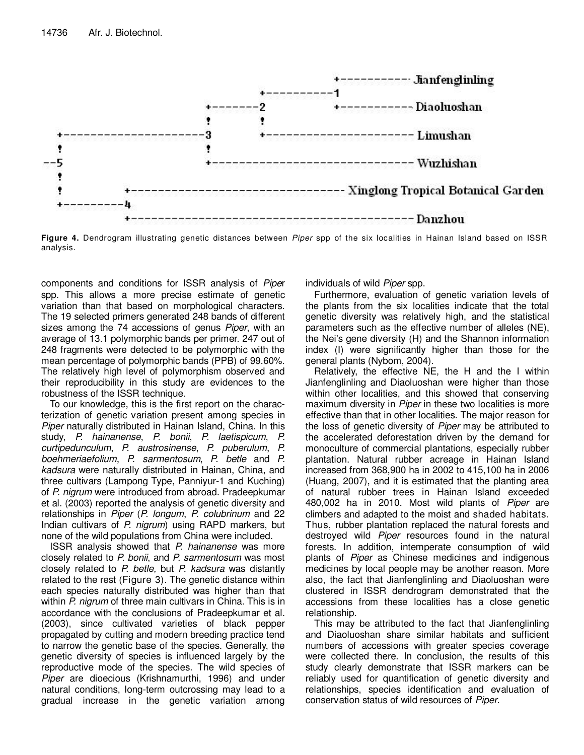

**Figure 4.** Dendrogram illustrating genetic distances between Piper spp of the six localities in Hainan Island based on ISSR analysis.

components and conditions for ISSR analysis of Piper spp. This allows a more precise estimate of genetic variation than that based on morphological characters. The 19 selected primers generated 248 bands of different sizes among the 74 accessions of genus Piper, with an average of 13.1 polymorphic bands per primer. 247 out of 248 fragments were detected to be polymorphic with the mean percentage of polymorphic bands (PPB) of 99.60%. The relatively high level of polymorphism observed and their reproducibility in this study are evidences to the robustness of the ISSR technique.

To our knowledge, this is the first report on the characterization of genetic variation present among species in Piper naturally distributed in Hainan Island, China. In this study, P. hainanense, P. bonii, P. laetispicum, P. curtipedunculum, P. austrosinense, P. puberulum, P. boehmeriaefolium, P. sarmentosum, P. betle and P. kadsura were naturally distributed in Hainan, China, and three cultivars (Lampong Type, Panniyur-1 and Kuching) of P. nigrum were introduced from abroad. Pradeepkumar et al. (2003) reported the analysis of genetic diversity and relationships in Piper (P. longum, P. colubrinum and 22 Indian cultivars of P. nigrum) using RAPD markers, but none of the wild populations from China were included.

ISSR analysis showed that P. hainanense was more closely related to P. bonii, and P. sarmentosum was most closely related to P. betle, but P. kadsura was distantly related to the rest (Figure 3). The genetic distance within each species naturally distributed was higher than that within P. nigrum of three main cultivars in China. This is in accordance with the conclusions of Pradeepkumar et al. (2003), since cultivated varieties of black pepper propagated by cutting and modern breeding practice tend to narrow the genetic base of the species. Generally, the genetic diversity of species is influenced largely by the reproductive mode of the species. The wild species of Piper are dioecious (Krishnamurthi, 1996) and under natural conditions, long-term outcrossing may lead to a gradual increase in the genetic variation among

individuals of wild Piper spp.

Furthermore, evaluation of genetic variation levels of the plants from the six localities indicate that the total genetic diversity was relatively high, and the statistical parameters such as the effective number of alleles (NE), the Nei's gene diversity (H) and the Shannon information index (I) were significantly higher than those for the general plants (Nybom, 2004).

Relatively, the effective NE, the H and the I within Jianfenglinling and Diaoluoshan were higher than those within other localities, and this showed that conserving maximum diversity in *Piper* in these two localities is more effective than that in other localities. The major reason for the loss of genetic diversity of Piper may be attributed to the accelerated deforestation driven by the demand for monoculture of commercial plantations, especially rubber plantation. Natural rubber acreage in Hainan Island increased from 368,900 ha in 2002 to 415,100 ha in 2006 (Huang, 2007), and it is estimated that the planting area of natural rubber trees in Hainan Island exceeded 480,002 ha in 2010. Most wild plants of Piper are climbers and adapted to the moist and shaded habitats. Thus, rubber plantation replaced the natural forests and destroyed wild *Piper* resources found in the natural forests. In addition, intemperate consumption of wild plants of Piper as Chinese medicines and indigenous medicines by local people may be another reason. More also, the fact that Jianfenglinling and Diaoluoshan were clustered in ISSR dendrogram demonstrated that the accessions from these localities has a close genetic relationship.

This may be attributed to the fact that Jianfenglinling and Diaoluoshan share similar habitats and sufficient numbers of accessions with greater species coverage were collected there. In conclusion, the results of this study clearly demonstrate that ISSR markers can be reliably used for quantification of genetic diversity and relationships, species identification and evaluation of conservation status of wild resources of Piper.